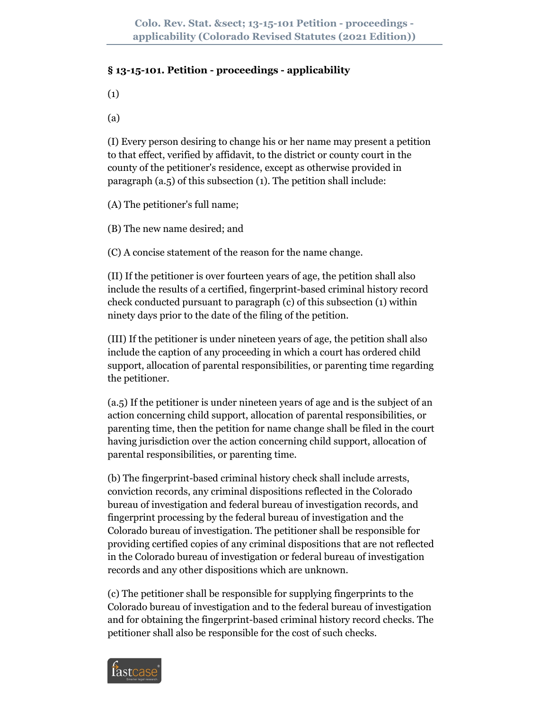## **§ 13-15-101. Petition - proceedings - applicability**

(1)

(a)

(I) Every person desiring to change his or her name may present a petition to that effect, verified by affidavit, to the district or county court in the county of the petitioner's residence, except as otherwise provided in paragraph (a.5) of this subsection (1). The petition shall include:

(A) The petitioner's full name;

(B) The new name desired; and

(C) A concise statement of the reason for the name change.

(II) If the petitioner is over fourteen years of age, the petition shall also include the results of a certified, fingerprint-based criminal history record check conducted pursuant to paragraph (c) of this subsection (1) within ninety days prior to the date of the filing of the petition.

(III) If the petitioner is under nineteen years of age, the petition shall also include the caption of any proceeding in which a court has ordered child support, allocation of parental responsibilities, or parenting time regarding the petitioner.

(a.5) If the petitioner is under nineteen years of age and is the subject of an action concerning child support, allocation of parental responsibilities, or parenting time, then the petition for name change shall be filed in the court having jurisdiction over the action concerning child support, allocation of parental responsibilities, or parenting time.

(b) The fingerprint-based criminal history check shall include arrests, conviction records, any criminal dispositions reflected in the Colorado bureau of investigation and federal bureau of investigation records, and fingerprint processing by the federal bureau of investigation and the Colorado bureau of investigation. The petitioner shall be responsible for providing certified copies of any criminal dispositions that are not reflected in the Colorado bureau of investigation or federal bureau of investigation records and any other dispositions which are unknown.

(c) The petitioner shall be responsible for supplying fingerprints to the Colorado bureau of investigation and to the federal bureau of investigation and for obtaining the fingerprint-based criminal history record checks. The petitioner shall also be responsible for the cost of such checks.

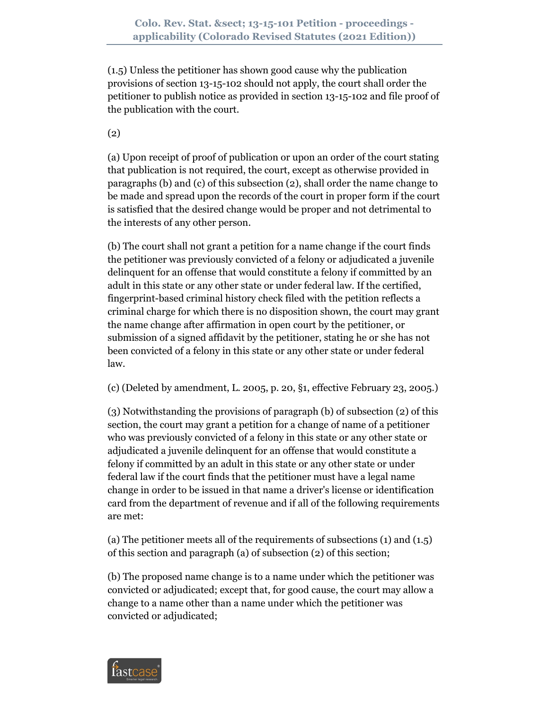(1.5) Unless the petitioner has shown good cause why the publication provisions of section 13-15-102 should not apply, the court shall order the petitioner to publish notice as provided in section 13-15-102 and file proof of the publication with the court.

(2)

(a) Upon receipt of proof of publication or upon an order of the court stating that publication is not required, the court, except as otherwise provided in paragraphs (b) and (c) of this subsection (2), shall order the name change to be made and spread upon the records of the court in proper form if the court is satisfied that the desired change would be proper and not detrimental to the interests of any other person.

(b) The court shall not grant a petition for a name change if the court finds the petitioner was previously convicted of a felony or adjudicated a juvenile delinquent for an offense that would constitute a felony if committed by an adult in this state or any other state or under federal law. If the certified, fingerprint-based criminal history check filed with the petition reflects a criminal charge for which there is no disposition shown, the court may grant the name change after affirmation in open court by the petitioner, or submission of a signed affidavit by the petitioner, stating he or she has not been convicted of a felony in this state or any other state or under federal law.

(c) (Deleted by amendment, L. 2005, p. 20, §1, effective February 23, 2005.)

(3) Notwithstanding the provisions of paragraph (b) of subsection (2) of this section, the court may grant a petition for a change of name of a petitioner who was previously convicted of a felony in this state or any other state or adjudicated a juvenile delinquent for an offense that would constitute a felony if committed by an adult in this state or any other state or under federal law if the court finds that the petitioner must have a legal name change in order to be issued in that name a driver's license or identification card from the department of revenue and if all of the following requirements are met:

(a) The petitioner meets all of the requirements of subsections (1) and (1.5) of this section and paragraph (a) of subsection (2) of this section;

(b) The proposed name change is to a name under which the petitioner was convicted or adjudicated; except that, for good cause, the court may allow a change to a name other than a name under which the petitioner was convicted or adjudicated;

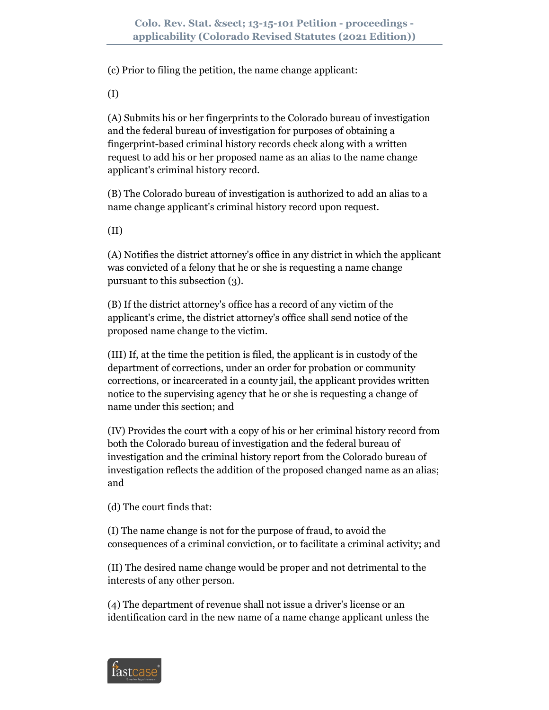(c) Prior to filing the petition, the name change applicant:

(I)

(A) Submits his or her fingerprints to the Colorado bureau of investigation and the federal bureau of investigation for purposes of obtaining a fingerprint-based criminal history records check along with a written request to add his or her proposed name as an alias to the name change applicant's criminal history record.

(B) The Colorado bureau of investigation is authorized to add an alias to a name change applicant's criminal history record upon request.

(II)

(A) Notifies the district attorney's office in any district in which the applicant was convicted of a felony that he or she is requesting a name change pursuant to this subsection (3).

(B) If the district attorney's office has a record of any victim of the applicant's crime, the district attorney's office shall send notice of the proposed name change to the victim.

(III) If, at the time the petition is filed, the applicant is in custody of the department of corrections, under an order for probation or community corrections, or incarcerated in a county jail, the applicant provides written notice to the supervising agency that he or she is requesting a change of name under this section; and

(IV) Provides the court with a copy of his or her criminal history record from both the Colorado bureau of investigation and the federal bureau of investigation and the criminal history report from the Colorado bureau of investigation reflects the addition of the proposed changed name as an alias; and

(d) The court finds that:

(I) The name change is not for the purpose of fraud, to avoid the consequences of a criminal conviction, or to facilitate a criminal activity; and

(II) The desired name change would be proper and not detrimental to the interests of any other person.

(4) The department of revenue shall not issue a driver's license or an identification card in the new name of a name change applicant unless the

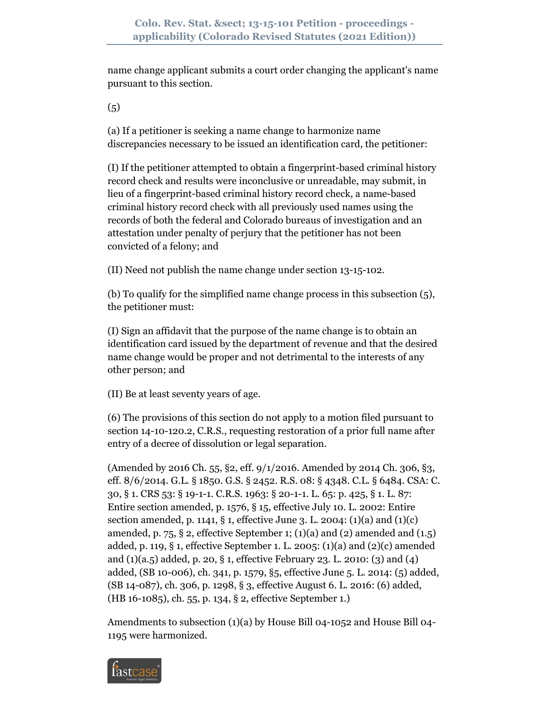name change applicant submits a court order changing the applicant's name pursuant to this section.

 $(5)$ 

(a) If a petitioner is seeking a name change to harmonize name discrepancies necessary to be issued an identification card, the petitioner:

(I) If the petitioner attempted to obtain a fingerprint-based criminal history record check and results were inconclusive or unreadable, may submit, in lieu of a fingerprint-based criminal history record check, a name-based criminal history record check with all previously used names using the records of both the federal and Colorado bureaus of investigation and an attestation under penalty of perjury that the petitioner has not been convicted of a felony; and

(II) Need not publish the name change under section 13-15-102.

(b) To qualify for the simplified name change process in this subsection (5), the petitioner must:

(I) Sign an affidavit that the purpose of the name change is to obtain an identification card issued by the department of revenue and that the desired name change would be proper and not detrimental to the interests of any other person; and

(II) Be at least seventy years of age.

(6) The provisions of this section do not apply to a motion filed pursuant to section 14-10-120.2, C.R.S., requesting restoration of a prior full name after entry of a decree of dissolution or legal separation.

(Amended by 2016 Ch. 55, §2, eff. 9/1/2016. Amended by 2014 Ch. 306, §3, eff. 8/6/2014. G.L. § 1850. G.S. § 2452. R.S. 08: § 4348. C.L. § 6484. CSA: C. 30, § 1. CRS 53: § 19-1-1. C.R.S. 1963: § 20-1-1. L. 65: p. 425, § 1. L. 87: Entire section amended, p. 1576, § 15, effective July 10. L. 2002: Entire section amended, p. 1141, § 1, effective June 3. L. 2004:  $(1)(a)$  and  $(1)(c)$ amended, p. 75, § 2, effective September 1; (1)(a) and (2) amended and  $(1.5)$ added, p. 119, § 1, effective September 1. L. 2005: (1)(a) and (2)(c) amended and (1)(a.5) added, p. 20, § 1, effective February 23. L. 2010: (3) and (4) added, (SB 10-006), ch. 341, p. 1579, §5, effective June 5. L. 2014: (5) added, (SB 14-087), ch. 306, p. 1298, § 3, effective August 6. L. 2016: (6) added, (HB 16-1085), ch. 55, p. 134, § 2, effective September 1.)

Amendments to subsection (1)(a) by House Bill 04-1052 and House Bill 04- 1195 were harmonized.

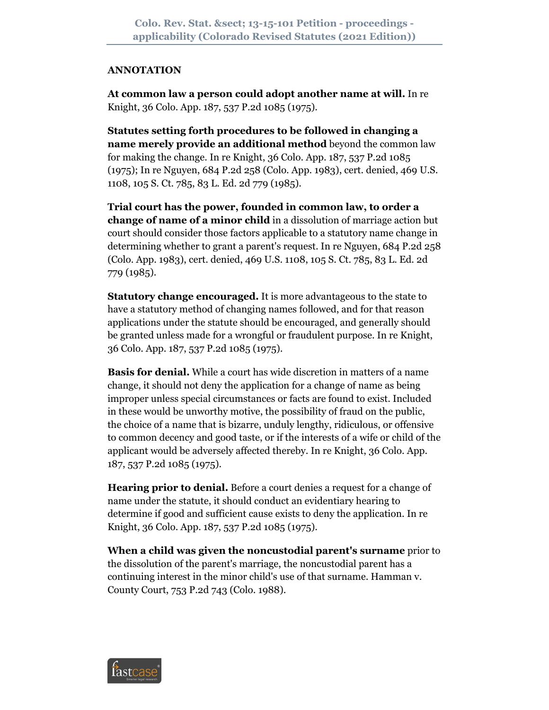## **ANNOTATION**

**At common law a person could adopt another name at will.** In re Knight, 36 Colo. App. 187, 537 P.2d 1085 (1975).

**Statutes setting forth procedures to be followed in changing a name merely provide an additional method** beyond the common law for making the change. In re Knight, 36 Colo. App. 187, 537 P.2d 1085 (1975); In re Nguyen, 684 P.2d 258 (Colo. App. 1983), cert. denied, 469 U.S. 1108, 105 S. Ct. 785, 83 L. Ed. 2d 779 (1985).

**Trial court has the power, founded in common law, to order a change of name of a minor child** in a dissolution of marriage action but court should consider those factors applicable to a statutory name change in determining whether to grant a parent's request. In re Nguyen, 684 P.2d 258 (Colo. App. 1983), cert. denied, 469 U.S. 1108, 105 S. Ct. 785, 83 L. Ed. 2d 779 (1985).

**Statutory change encouraged.** It is more advantageous to the state to have a statutory method of changing names followed, and for that reason applications under the statute should be encouraged, and generally should be granted unless made for a wrongful or fraudulent purpose. In re Knight, 36 Colo. App. 187, 537 P.2d 1085 (1975).

**Basis for denial.** While a court has wide discretion in matters of a name change, it should not deny the application for a change of name as being improper unless special circumstances or facts are found to exist. Included in these would be unworthy motive, the possibility of fraud on the public, the choice of a name that is bizarre, unduly lengthy, ridiculous, or offensive to common decency and good taste, or if the interests of a wife or child of the applicant would be adversely affected thereby. In re Knight, 36 Colo. App. 187, 537 P.2d 1085 (1975).

**Hearing prior to denial.** Before a court denies a request for a change of name under the statute, it should conduct an evidentiary hearing to determine if good and sufficient cause exists to deny the application. In re Knight, 36 Colo. App. 187, 537 P.2d 1085 (1975).

**When a child was given the noncustodial parent's surname** prior to the dissolution of the parent's marriage, the noncustodial parent has a continuing interest in the minor child's use of that surname. Hamman v. County Court, 753 P.2d 743 (Colo. 1988).

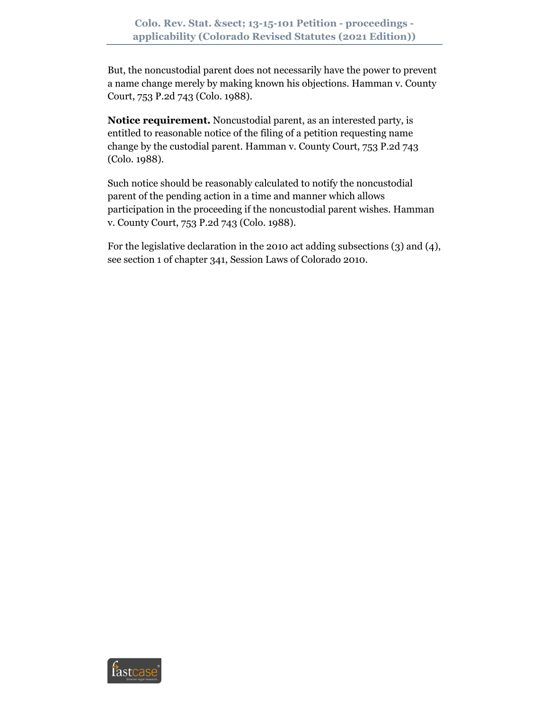But, the noncustodial parent does not necessarily have the power to prevent a name change merely by making known his objections. Hamman v. County Court, 753 P.2d 743 (Colo. 1988).

**Notice requirement.** Noncustodial parent, as an interested party, is entitled to reasonable notice of the filing of a petition requesting name change by the custodial parent. Hamman v. County Court, 753 P.2d 743 (Colo. 1988).

Such notice should be reasonably calculated to notify the noncustodial parent of the pending action in a time and manner which allows participation in the proceeding if the noncustodial parent wishes. Hamman v. County Court, 753 P.2d 743 (Colo. 1988).

For the legislative declaration in the 2010 act adding subsections (3) and (4), see section 1 of chapter 341, Session Laws of Colorado 2010.